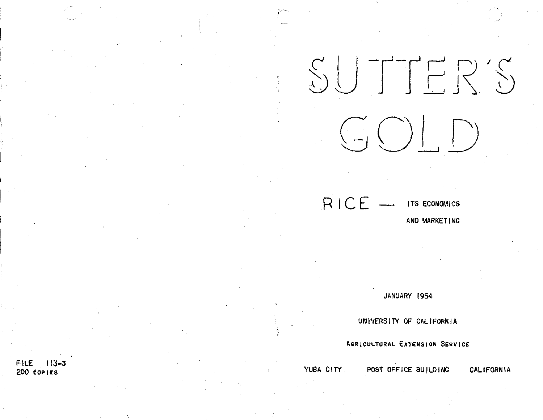SUTTER'S  $\begin{picture}(120,15) \put(0,0){\line(1,0){155}} \put(15,0){\line(1,0){155}} \put(15,0){\line(1,0){155}} \put(15,0){\line(1,0){155}} \put(15,0){\line(1,0){155}} \put(15,0){\line(1,0){155}} \put(15,0){\line(1,0){155}} \put(15,0){\line(1,0){155}} \put(15,0){\line(1,0){155}} \put(15,0){\line(1,0){155}} \put(15,0){\line(1,0){155}}$ 

# $RICE$  — Its economics AND MARKET ING

JANUARY 1954

UNIVERSITY OF CALIFORNIA

AGRICULTURAL EXTENSION SERVICE

POST OFFICE BUILDING

YUBA CITY

**CALIFORNIA** 

FILE ।।3– 200 copies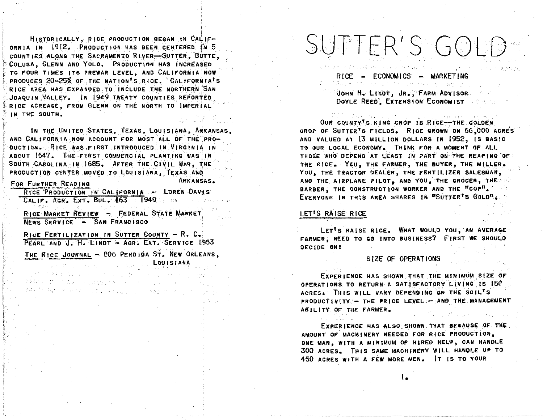HISTORICALLY, RICE PRODUCTION BEGAN IN CALIF-ORNIA IN 1912, PRODUCTION HAS BEEN CENTERED IN 5 COUNTIES ALONG THE SACRAMENTO RIVER--SUTTER, BUTTE, COLUSA, GLENN AND YOLO. PRODUCTION HAS INCREASED TO FOUR TIMES ITS PREWAR LEVEL, AND CALIFORNIA NOW PRODUCES 20-25% OF THE NATION'S RICE. CALIFORNIA'S RICE AREA HAS EXPANDED TO INCLUDE THE NORTHERN SAN JOAQUIN VALLEY. IN 1949 TWENTY COUNTIES REPORTED RICE ACREAGE, FROM GLENN ON THE NORTH TO IMPERIAL IN THE SOUTH.

IN THE UNITED STATES, TEXAS, LOUISIANA, ARKANSAS, AND CALIFORNIA NOW ACCOUNT FOR MOST ALL DE THE PRO-DUCTION. RICE WAS FIRST INTRODUCED IN VIRGINIA IN ABOUT 1647. THE FIRST COMMERCIAL PLANTING WAS IN SOUTH CAROLINA IN 1685. AFTER THE CIVIL WAR, THE PRODUCTION CENTER MOVED TO LOUISIANA, TEXAS AND

#### FOR FURTHER READING

終心法 かか おおす しゅうどかい トル

がいや せいたい こうりょくさい

RICE PRODUCTION IN CALIFORNIA - LOREN DAVIS CALIF. AGR. EXT. BUL. 163 1949

RICE MARKET REVIEW - FEDERAL STATE MARKET NEWS SERVICE - SAN FRANCISCO

RICE FERTILIZATION IN SUTTER COUNTY - R. C. PEARL AND J. H. LINDT - AGR. EXT. SERVICE 1953 THE RICE JOURNAL - 806 PERDIDA ST. NEW ORLEANS,

LOUISIANA

**ARKANSAS.** 

# SUTTER'S GOID

#### RICE - ECONOMICS - MARKETING SARE CONTRACTORS INTERNATIONAL WORLD FOR

## JOHN H. LINDT, JR. FARM ADVISOR DOYLE REED, EXTENSION ECONOMIST ACCESS

OUR COUNTY'S KING CROP IS RICE-THE GOLDEN CROP OF SUTTER'S FIELDS. RICE GROWN ON 66,000 ACRES AND VALUED AT 13 MILLION DOLLARS IN 1952, IS BASIC TO OUR LOCAL ECONOMY. THINK FOR A MOMENT OF ALL THOSE WHO DEPEND AT LEAST IN PART ON THE REAPING OF THE RICE. YOU, THE FARMER, THE BUYER, THE MILLER. YOU, THE TRACTOR DEALER, THE FERTILIZER SALESMAN, AND THE AIRPLANE PILOT, AND YOU, THE GROCER, THE BARBER, THE CONSTRUCTION WORKER AND THE "COP". EVERYONE IN THIS AREA SHARES IN "SUTTER'S GOLD".

### LET'S RAISE RICE

LET'S RAISE RICE. WHAT WOULD YOU, AN AVERAGE FARMER, NEED TO GO INTO BUSINESS? FIRST WE SHOULD DECIDE ON:

#### SIZE OF OPERATIONS

EXPERIENCE HAS SHOWN THAT THE MINIMUM SIZE OF OPERATIONS TO RETURN A SATISFACTORY LIVING IS IS? ACRES. THIS WILL VARY DEPENDING ON THE SOIL'S PRODUCTIVITY - THE PRICE LEVEL .- AND THE MANAGEMENT ABILITY OF THE FARMER.

EXPERIENCE HAS ALSO SHOWN THAT BECAUSE OF THE AMOUNT OF MACHINERY NEEDED FOR RICE PRODUCTION, ONE MAN, WITH A MINIMUM OF HIRED HELP, CAN HANDLE 300 ACRES. THIS SAME MACHINERY WILL HANDLE UP TO 450 ACRES WITH A FEW MORE MEN. IT IS TO YOUR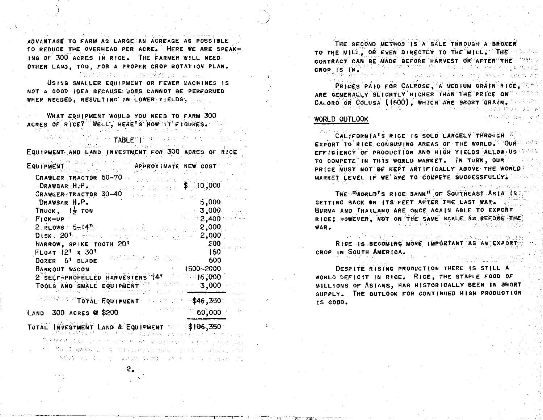ADVANTAGE TO FARM AS LARGE AN ACREAGE AS POSSIBLE TO REDUCE THE OVERHEAD PER ACRE. HERE WE ARE SPEAK-ING OF 300 ACRES IN RICE. THE FARMER WILL NEED. OTHER LAND, TOO, FOR A PROPER CROP ROTATION PLAN.

(酸) という病な しゃし 反射な能減 小説 しゅ

USING SMALLER EQUIPMENT OR FEWER MACHINES IS NOT A GOOD IDEA BECAUSE JOBS CANNOT BE PERFORMED WHEN NEEDED, RESULTING IN LOWER YIELDS.

WHAT EQUIPMENT WOULD YOU NEED TO FARM 500 ACRES OF RICE? WELL, HERE'S HOW IT FIGURES.

그 은퇴로 3개 열리기 시작되었지 engan kalendar di **Lyone**nte Reconnue di Sa 大阪 マン 不移のない

EQUIPMENT AND LAND INVESTMENT FOR 300 ACRES OF RICE

| APPROXIMATE NEW COST<br>EQUIPMENT<br>ntadas estro preso lei l'elles comerce co                                                                       |           |
|------------------------------------------------------------------------------------------------------------------------------------------------------|-----------|
| CRAWLER TRACTOR 60-70 $\sim$ 000 $\frac{1}{2}$ 10,000                                                                                                |           |
| CRAWLER TRACTOR 30-40<br>一度的 一定<br>DRAWBAR H.P.                                                                                                      | 5,000     |
| TRUCK, $\frac{1}{2}$ TON                                                                                                                             | 3,000     |
| PICK-UP                                                                                                                                              | 2,400     |
| , where $\mathbb{E}[\mathbb{A}^{n}]$ is a particular form of $\mathbf{2}_{\mathcal{F}}\mathbf{000}_{\mathcal{F}}$<br>$2$ PLOWS $5\pi14$ <sup>m</sup> |           |
| DISK @20180 The State of the Second Line of Lands 2,000                                                                                              |           |
| HARROW, SPIKE TOOTH 20'                                                                                                                              | -200      |
| FLOAT 12' x 30'                                                                                                                                      | 150       |
| いってはないと 一般に反けた<br>DOZER 6' BLADE                                                                                                                     | 600       |
| $\mathcal{L}_{\text{max}}$ and $\mathcal{L}_{\text{max}}$<br><b>BANKOUT WAGON</b>                                                                    | 1500~2000 |
| 2 SELF-PROPELLED HARVESTERS 147 16,000                                                                                                               |           |
| TOOLS AND SMALL EQUIPMENT AND SOCIAL STR.000<br>Health of the communication of the <del>communication</del>                                          |           |
| <sup>2008</sup> r step <b>total Equipment</b> Experiment <b>-\$46,350</b>                                                                            |           |
| - TANAS NA<br>300 ACRES @ \$200<br>LAND                                                                                                              | $-60,000$ |

TOTAL INVESTMENT LAND & EQUIPMENT SAND \$106,350

"是我做了某事都会怎么样。""这一点,还是是一块蓝旗直接极,是为这样的是不可以说,不是,只是主 医小脑脓肿 法准定 复造物的 计静态程序符合编码 机硬化机构 计同步要求的 医马氏体 医动物 "天使"。都是一篇武器棉布解,此"女"等一位其实是,但是不是一般地不同。 医白外质 人名法德弗伦 计同位素 溶结氨酸 微型 拉丁 一步 人名罗德纳 网络地球 经零售 电二次因子 医后部的第三人称单

THE SECOND METHOD IS A SALE THROUGH A BROKER TO THE MILL, OR EVEN DIRECTLY TO THE MILL. THE STRESS OF **CONTRACT CAN BE MADE BEFORE HARVEST OR AFTER THE 2008 P** 11일 10:00 MM 시 13:00 MM 10:00 MM 10:00 MM 10:00 MM 10:00 MM 10:00 MM 10:00 MM 10:00 MM 10:00 MM 10:00 MM 10:00<br>기자 전 1:00 MM 시 1:00 MM 10:00 MM 10:00 MM 10:00 MM 10:00 MM 10:00 MM 10:00 MM 10:00 MM 10:00 MM 10:00 MM 10:00 CROP IS IN. 나는 아이들은 우리 사람에게 나가 나는 일 아이가 있었다. 이 없이 있다.

PRICES PAID FOR CALROSE, A MEDIUM GRAIN RICE, ARE GENERALLY SLIGHTLY HIGHER THAN THE PRICE ON A REAL CALORO OR COLUSA (1600), WHICH ARE SHORT GRAIN.

#### WORLD OUTLOOK

CALIFORNIA'S RICE IS SOLD LARGELY THROUGH **EXPORT TO RICE CONSUMING AREAS OF THE WORLD. UUR** EFFICIENCY OF PRODUCTION AND HIGH YIELDS ALLOW US AND MALLOWS TO COMPETE IN THIS WORLD MARKET. IN TURN, OUR PRICE MUST NOT BE KEPT ARTIFICALLY ABOVE THE WORLD MARKET LEVEL IF WE ARE TO COMPETE SUCCESSFULLY.

THE HWORLD S RICE BANK! OF SOUTHEAST AS IR SIN GETTING BACK ON ITS FEET AFTER THE LAST WAR. BURMA AND IHAILAND ARE ONCE AGAIN ABLE TO EXPURI RICE; HOWEVER, NOT ON THE SAME SCALE AS BEFORE THE 人気をしょとういうかん フルー せきてきれながった数値 WAR.

[전반 민준 구락 ] 16 역사 주장화 뿐 1860년

医牙下位 医光阻性 化化无正规 计加长功能学说 医内皮炎 數據器 RICE IS BECOMING MORE IMPORTANT AS AN EVALUAT **CROP IN SOUTH AMERICA.** 

DESPITE RISING PRODUCTION THERE IS STILL A WORLD DEFICIT IN RICE. KICE, THE STAPLE FOOD OF MILLIONS OF ASIANS, HAS HISTORICALLY BEEN IN SHORT SUPPLY. THE OUTLOOK FOR CONTINUED HIGH PRODUCTION  $12000$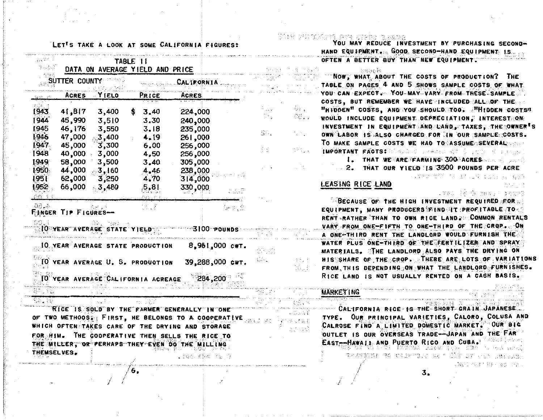#### LET'S TAKE A LOOK AT SOME CALIFORNIA FIGURES:

| $\mathcal{L}_\mathcal{A} \in \mathcal{L}$ .<br>きらなぎ |                     |                                                       | TABLE 11<br>DATA ON AVERAGE YIELD AND PRICE |                                                                                                       |     |
|-----------------------------------------------------|---------------------|-------------------------------------------------------|---------------------------------------------|-------------------------------------------------------------------------------------------------------|-----|
|                                                     | SUTTER COUNTY       |                                                       |                                             | CALIFORNIA                                                                                            |     |
|                                                     | ACRES               | $\mathcal{N}$ (ELO)                                   | <b>PRICE</b>                                | ACRES                                                                                                 |     |
| a da L<br>1943                                      | 41,BI7              | 3,400                                                 | \$<br>3,40                                  | 224,000                                                                                               |     |
| 1944<br>1945                                        | 45,990<br>46,176    | 3,510<br>3,550                                        | 3.30<br>3.18                                | 240,000<br>235,000                                                                                    | Sh. |
| 1946<br>1947.                                       | 47,000<br>45,000    | 3,400<br>3,300                                        | 4.19<br>6.00                                | 261,000<br>256,000                                                                                    | ξv, |
| 1948<br>1949                                        | 40,000<br>58,000    | 3,000<br>3,500                                        | 4,50<br>3.40                                | 256,000<br>305,000                                                                                    |     |
| 1950.<br>1951                                       | 44,000<br>62,000    | $\sim$ 3,160<br>3,250                                 | 4.46<br>4,70                                | 238,000<br>314,000                                                                                    |     |
| 1952<br>OG 3                                        | 66,000              | $-3,480$                                              | ,5,81                                       | 330,000                                                                                               |     |
| 4 S.C                                               | FINGER TIP FIGURES- | $6<\frac{1}{6}$                                       | 130 L E                                     | Geb <sub>r</sub> S                                                                                    |     |
| 66.I                                                |                     | GB.<br>- 13数字 318<br><b>OVEAR AVERAGE STATE YIELD</b> |                                             | <sup>…</sup> 3100 Pounds                                                                              |     |
|                                                     |                     |                                                       | <b>IO YEAR AVERAGE STATE PRODUCTION</b>     | 8,961,000 CWT.                                                                                        |     |
|                                                     |                     |                                                       | O YEAR AVERAGE U. S. PRODUOTION             | 39,288,000 CWT.                                                                                       | s≓. |
|                                                     |                     |                                                       | IO YEAR AVERAGE CALIFORNIA ACREAGE          | 284,200                                                                                               |     |
| er, Ta                                              |                     |                                                       |                                             |                                                                                                       |     |
| \$2 - 1 9                                           |                     |                                                       |                                             | RICE IS SOLD BY THE FARMER GENERALLY IN ONE                                                           |     |
|                                                     |                     |                                                       |                                             | OF TWO METHOOS FIRST, HE BELONGS TO A COOPERATIVE<br>WHICH OFTEN TAKES CARE OF THE DRYING AND STORAGE |     |
| FOR HIM.                                            |                     |                                                       |                                             | THE COOPERATIVE THEN SELLS THE RICE TO                                                                |     |
|                                                     |                     |                                                       |                                             | THE MILLER, OR PERHAPS THEY EVEN DO THE MILLING                                                       |     |

6.

#### 清代主義 人名法德 有机能能力 K. STE STOCK TRADE

OP.

 $\mathcal{F}_{\alpha\beta}$  .

 $\mathcal{O}_{\mathcal{M}}$ 

四国子 ta di

2. 苏公底里

hiika C

 $\mathbb{R} \times \mathbb{R}$ 

Cé.

YOU MAY REDUCE INVESTMENT BY PURCHASING SECOND-HAND EQUIPMENT... GOOD, SECOND-HAND EQUIPMENT I.S. OFTEN A BETTER BUY THAN NEW EQUIPMENT.

हे छोडर हैरे। NOW, WHAT ABOUT THE COSTS OF PRODUCTION? THE TABLE ON PAGES 4 AND 5 SHOWS SAMPLE COSTS OF WHAT YOU CAN EXPECT. YOU MAY VARY FROM THESE SAMPLE COSTS. BUT REMEMBER WE HAVE INCLUDED ALL OF THE "HIDDEN" COSTS, AND YOU SHOULD TOO. "HIDDEN COSTS" WOULD INCLUDE EQUIPMENT DEPRECIATION, INTEREST ON INVESTMENT IN EQUIPMENT AND LAND. TAXES. THE OWNER'S OWN LABOR IS ALSO CHARGED FOR IN OUR SAMPLE COSTS. TO MAKE SAMPLE COSTS WE HAD TO ASSUME SEVERAL ... **IMPORTANT FACTS:** CONSIDER ARRESTS AND A STRONG

L. THAT WE CARE FARMING 300 ACRES .... . ...

2. THAT OUR YIELD IS 3500 POUNDS PER ACRE

#### LEASING RICE LAND

LYWA 長永 倍 でast al dialeの

医脊椎炎 繁殖的 不知 医不正正性 委员会 网络马斯特尔

**SBECAUSE OF THE HIGH INVESTMENT REQUIRED FOR.** EQUIPMENT, MANY PRODUCERS FILND IT PROFITABLE TO RENT RATHER THAN TO OWN RICE LAND. COMMON RENTALS VARY FROM ONE-FIFTH TO ONE-THIRD OF THE CROP. ON A ONE-THIRD RENT THE LANDLORD WOULD FURNISH THE WATER PLUS ONE-THIRD OF THE FERTILIZER AND SPRAY MATERIALS. THE LANDLORD ALSO PAYS THE DRYING ON HIS SHARE OF THE CROP. THERE ARE LOTS OF VARIATIONS FROM THIS DEPENDING ON WHAT THE LANDLORD FURNISHES. RICE LAND IS NOT USUALLY RENTED ON A CASH BASIS.

#### **MARKET ING**

CALIFORNIA RICE IS THE SHORT CRAIN JAPANESE. TYPE. OUR PRINCIPAL VARIETIES, CALORO, COLUSA AND CALROSE FIND A LIMITED DOMESTIC MARKET. OUR BIG OUTLET IS OUR OVERSEAS TRADE--JAPAN AND THE FAR EAST-HAWAIL AND PUERTO RICO AND CUBA. TABLE IN AL ot trochar life that come over any RAGGESTED WAS GRAMMED ON A CONSIDER THE SEARCH SOUTH ARTIST ON

3.